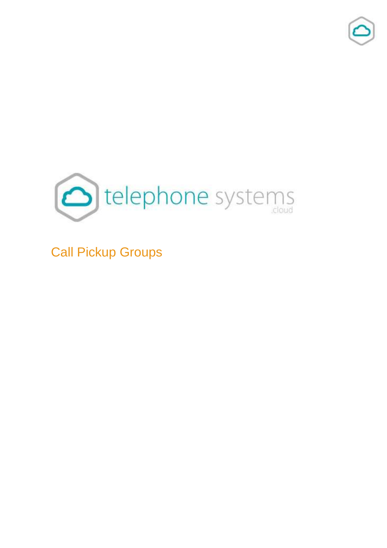



Call Pickup Groups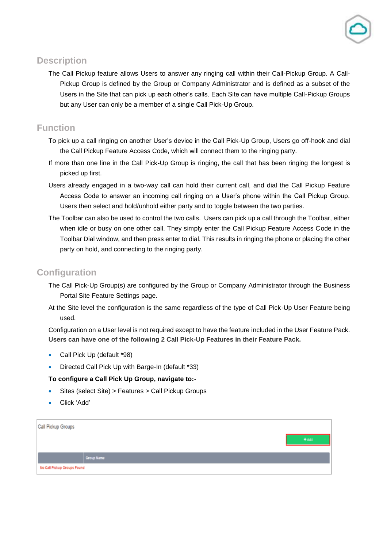

## **Description**

The Call Pickup feature allows Users to answer any ringing call within their Call-Pickup Group. A Call-Pickup Group is defined by the Group or Company Administrator and is defined as a subset of the Users in the Site that can pick up each other's calls. Each Site can have multiple Call-Pickup Groups but any User can only be a member of a single Call Pick-Up Group.

## **Function**

- To pick up a call ringing on another User's device in the Call Pick-Up Group, Users go off-hook and dial the Call Pickup Feature Access Code, which will connect them to the ringing party.
- If more than one line in the Call Pick-Up Group is ringing, the call that has been ringing the longest is picked up first.
- Users already engaged in a two-way call can hold their current call, and dial the Call Pickup Feature Access Code to answer an incoming call ringing on a User's phone within the Call Pickup Group. Users then select and hold/unhold either party and to toggle between the two parties.
- The Toolbar can also be used to control the two calls. Users can pick up a call through the Toolbar, either when idle or busy on one other call. They simply enter the Call Pickup Feature Access Code in the Toolbar Dial window, and then press enter to dial. This results in ringing the phone or placing the other party on hold, and connecting to the ringing party.

## **Configuration**

- The Call Pick-Up Group(s) are configured by the Group or Company Administrator through the Business Portal Site Feature Settings page.
- At the Site level the configuration is the same regardless of the type of Call Pick-Up User Feature being used.

Configuration on a User level is not required except to have the feature included in the User Feature Pack. **Users can have one of the following 2 Call Pick-Up Features in their Feature Pack.**

- Call Pick Up (default \*98)
- Directed Call Pick Up with Barge-In (default \*33)

## **To configure a Call Pick Up Group, navigate to:-**

- Sites (select Site) > Features > Call Pickup Groups
- Click 'Add'

| Call Pickup Groups          |            |  |  |
|-----------------------------|------------|--|--|
|                             | $+$ Add    |  |  |
|                             |            |  |  |
|                             | Group Name |  |  |
| No Call Pickup Groups Found |            |  |  |